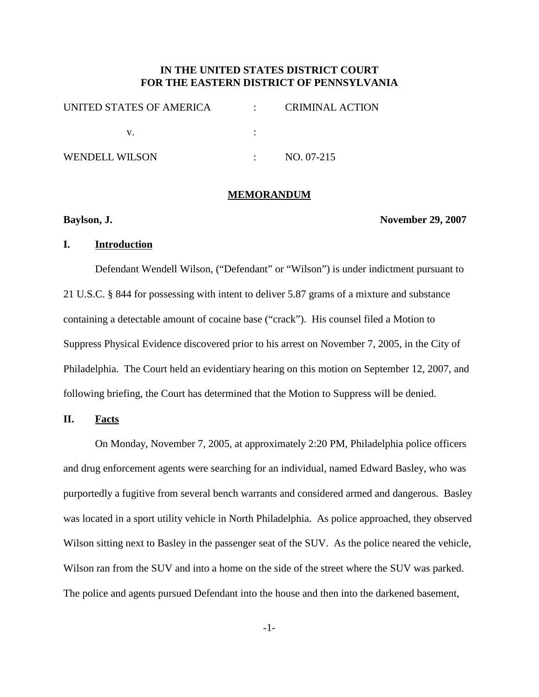# **IN THE UNITED STATES DISTRICT COURT FOR THE EASTERN DISTRICT OF PENNSYLVANIA**

| UNITED STATES OF AMERICA | <b>CRIMINAL ACTION</b> |
|--------------------------|------------------------|
|                          |                        |
| WENDELL WILSON           | NO. 07-215             |

#### **MEMORANDUM**

**Baylson, J. November 29, 2007**

#### **I. Introduction**

Defendant Wendell Wilson, ("Defendant" or "Wilson") is under indictment pursuant to 21 U.S.C. § 844 for possessing with intent to deliver 5.87 grams of a mixture and substance containing a detectable amount of cocaine base ("crack"). His counsel filed a Motion to Suppress Physical Evidence discovered prior to his arrest on November 7, 2005, in the City of Philadelphia. The Court held an evidentiary hearing on this motion on September 12, 2007, and following briefing, the Court has determined that the Motion to Suppress will be denied.

#### **II. Facts**

On Monday, November 7, 2005, at approximately 2:20 PM, Philadelphia police officers and drug enforcement agents were searching for an individual, named Edward Basley, who was purportedly a fugitive from several bench warrants and considered armed and dangerous. Basley was located in a sport utility vehicle in North Philadelphia. As police approached, they observed Wilson sitting next to Basley in the passenger seat of the SUV. As the police neared the vehicle, Wilson ran from the SUV and into a home on the side of the street where the SUV was parked. The police and agents pursued Defendant into the house and then into the darkened basement,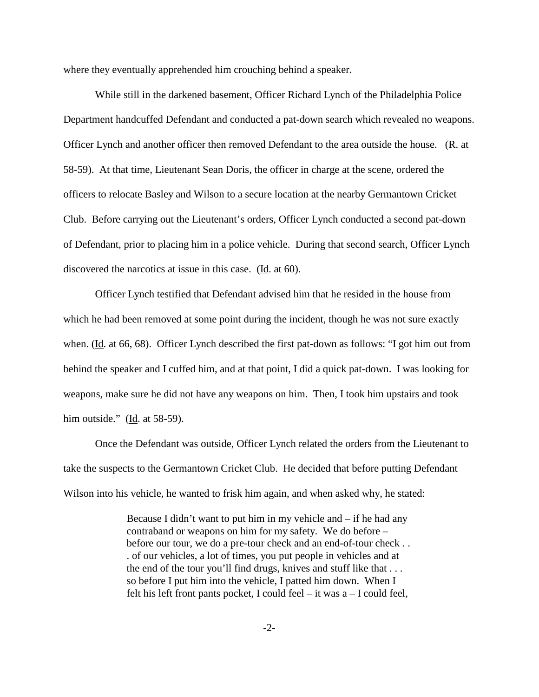where they eventually apprehended him crouching behind a speaker.

While still in the darkened basement, Officer Richard Lynch of the Philadelphia Police Department handcuffed Defendant and conducted a pat-down search which revealed no weapons. Officer Lynch and another officer then removed Defendant to the area outside the house. (R. at 58-59). At that time, Lieutenant Sean Doris, the officer in charge at the scene, ordered the officers to relocate Basley and Wilson to a secure location at the nearby Germantown Cricket Club. Before carrying out the Lieutenant's orders, Officer Lynch conducted a second pat-down of Defendant, prior to placing him in a police vehicle. During that second search, Officer Lynch discovered the narcotics at issue in this case. (Id. at 60).

Officer Lynch testified that Defendant advised him that he resided in the house from which he had been removed at some point during the incident, though he was not sure exactly when. (Id. at 66, 68). Officer Lynch described the first pat-down as follows: "I got him out from behind the speaker and I cuffed him, and at that point, I did a quick pat-down. I was looking for weapons, make sure he did not have any weapons on him. Then, I took him upstairs and took him outside." ( $\underline{Id}$ . at 58-59).

Once the Defendant was outside, Officer Lynch related the orders from the Lieutenant to take the suspects to the Germantown Cricket Club. He decided that before putting Defendant Wilson into his vehicle, he wanted to frisk him again, and when asked why, he stated:

> Because I didn't want to put him in my vehicle and – if he had any contraband or weapons on him for my safety. We do before – before our tour, we do a pre-tour check and an end-of-tour check . . . of our vehicles, a lot of times, you put people in vehicles and at the end of the tour you'll find drugs, knives and stuff like that . . . so before I put him into the vehicle, I patted him down. When I felt his left front pants pocket, I could feel – it was  $a - I$  could feel,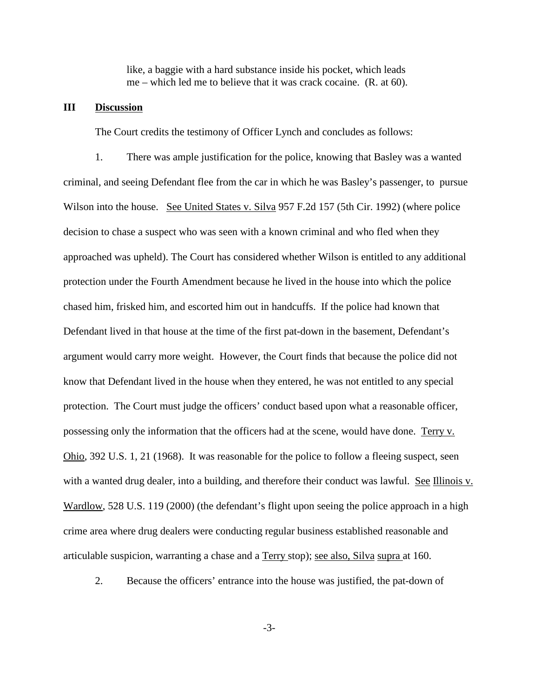like, a baggie with a hard substance inside his pocket, which leads me – which led me to believe that it was crack cocaine. (R. at 60).

### **III Discussion**

The Court credits the testimony of Officer Lynch and concludes as follows:

1. There was ample justification for the police, knowing that Basley was a wanted criminal, and seeing Defendant flee from the car in which he was Basley's passenger, to pursue Wilson into the house. See United States v. Silva 957 F.2d 157 (5th Cir. 1992) (where police decision to chase a suspect who was seen with a known criminal and who fled when they approached was upheld). The Court has considered whether Wilson is entitled to any additional protection under the Fourth Amendment because he lived in the house into which the police chased him, frisked him, and escorted him out in handcuffs. If the police had known that Defendant lived in that house at the time of the first pat-down in the basement, Defendant's argument would carry more weight. However, the Court finds that because the police did not know that Defendant lived in the house when they entered, he was not entitled to any special protection. The Court must judge the officers' conduct based upon what a reasonable officer, possessing only the information that the officers had at the scene, would have done. Terry v. Ohio, 392 U.S. 1, 21 (1968). It was reasonable for the police to follow a fleeing suspect, seen with a wanted drug dealer, into a building, and therefore their conduct was lawful. See Illinois v. Wardlow, 528 U.S. 119 (2000) (the defendant's flight upon seeing the police approach in a high crime area where drug dealers were conducting regular business established reasonable and articulable suspicion, warranting a chase and a Terry stop); see also, Silva supra at 160.

2. Because the officers' entrance into the house was justified, the pat-down of

-3-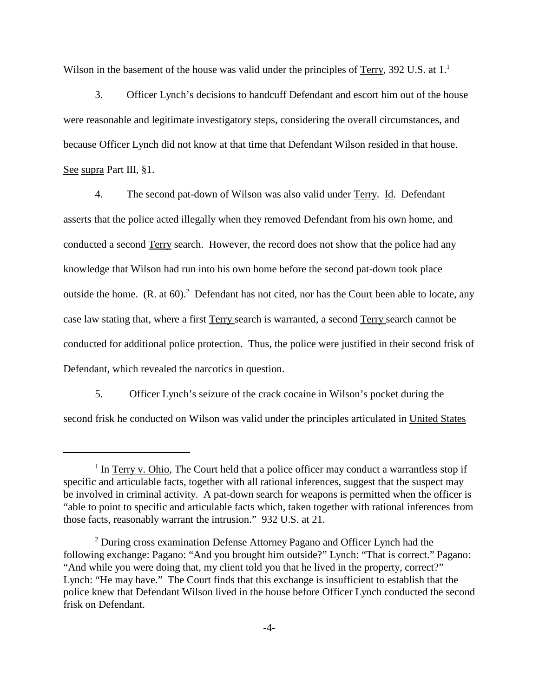Wilson in the basement of the house was valid under the principles of  $Term$ , 392 U.S. at  $1<sup>1</sup>$ </u>

3. Officer Lynch's decisions to handcuff Defendant and escort him out of the house were reasonable and legitimate investigatory steps, considering the overall circumstances, and because Officer Lynch did not know at that time that Defendant Wilson resided in that house. See supra Part III, §1.

4. The second pat-down of Wilson was also valid under Terry. Id. Defendant asserts that the police acted illegally when they removed Defendant from his own home, and conducted a second Terry search. However, the record does not show that the police had any knowledge that Wilson had run into his own home before the second pat-down took place outside the home.  $(R. at 60)<sup>2</sup>$  Defendant has not cited, nor has the Court been able to locate, any case law stating that, where a first Terry search is warranted, a second Terry search cannot be conducted for additional police protection. Thus, the police were justified in their second frisk of Defendant, which revealed the narcotics in question.

5. Officer Lynch's seizure of the crack cocaine in Wilson's pocket during the second frisk he conducted on Wilson was valid under the principles articulated in United States

 $1$  In Terry v. Ohio, The Court held that a police officer may conduct a warrantless stop if specific and articulable facts, together with all rational inferences, suggest that the suspect may be involved in criminal activity. A pat-down search for weapons is permitted when the officer is "able to point to specific and articulable facts which, taken together with rational inferences from those facts, reasonably warrant the intrusion." 932 U.S. at 21.

<sup>2</sup> During cross examination Defense Attorney Pagano and Officer Lynch had the following exchange: Pagano: "And you brought him outside?" Lynch: "That is correct." Pagano: "And while you were doing that, my client told you that he lived in the property, correct?" Lynch: "He may have." The Court finds that this exchange is insufficient to establish that the police knew that Defendant Wilson lived in the house before Officer Lynch conducted the second frisk on Defendant.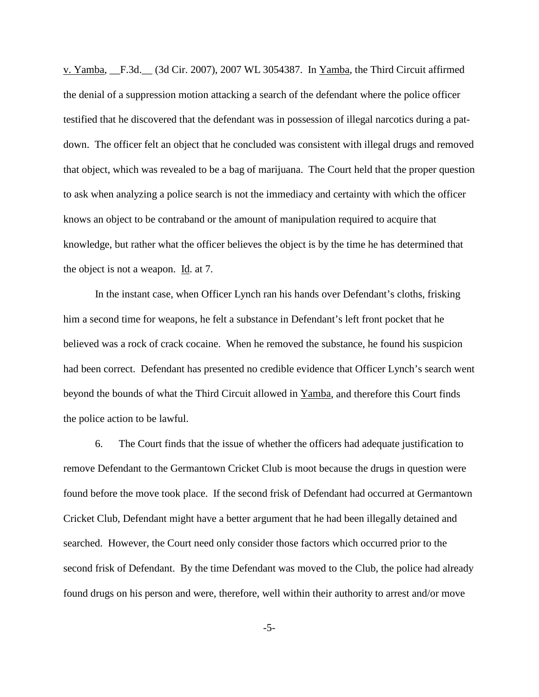v. Yamba, \_\_F.3d.\_\_ (3d Cir. 2007), 2007 WL 3054387. In Yamba, the Third Circuit affirmed the denial of a suppression motion attacking a search of the defendant where the police officer testified that he discovered that the defendant was in possession of illegal narcotics during a patdown. The officer felt an object that he concluded was consistent with illegal drugs and removed that object, which was revealed to be a bag of marijuana. The Court held that the proper question to ask when analyzing a police search is not the immediacy and certainty with which the officer knows an object to be contraband or the amount of manipulation required to acquire that knowledge, but rather what the officer believes the object is by the time he has determined that the object is not a weapon.  $\underline{Id}$  at 7.

In the instant case, when Officer Lynch ran his hands over Defendant's cloths, frisking him a second time for weapons, he felt a substance in Defendant's left front pocket that he believed was a rock of crack cocaine. When he removed the substance, he found his suspicion had been correct. Defendant has presented no credible evidence that Officer Lynch's search went beyond the bounds of what the Third Circuit allowed in Yamba, and therefore this Court finds the police action to be lawful.

6. The Court finds that the issue of whether the officers had adequate justification to remove Defendant to the Germantown Cricket Club is moot because the drugs in question were found before the move took place. If the second frisk of Defendant had occurred at Germantown Cricket Club, Defendant might have a better argument that he had been illegally detained and searched. However, the Court need only consider those factors which occurred prior to the second frisk of Defendant. By the time Defendant was moved to the Club, the police had already found drugs on his person and were, therefore, well within their authority to arrest and/or move

-5-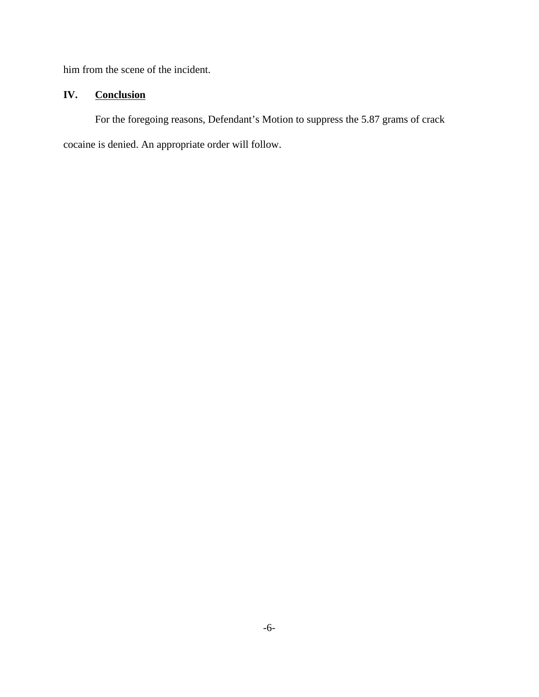him from the scene of the incident.

# **IV. Conclusion**

For the foregoing reasons, Defendant's Motion to suppress the 5.87 grams of crack

cocaine is denied. An appropriate order will follow.